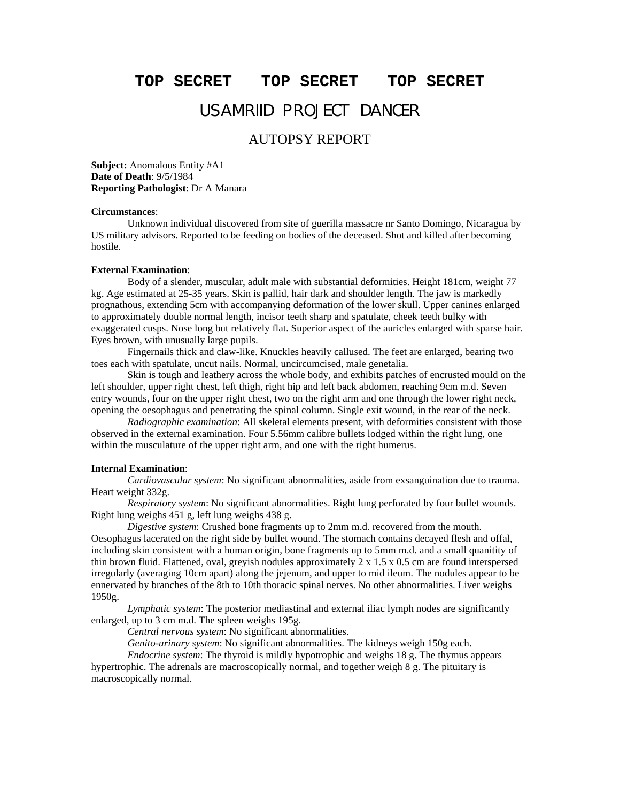## **TOP SECRET TOP SECRET TOP SECRET**

# USAMRIID PROJECT DANCER

## AUTOPSY REPORT

**Subject:** Anomalous Entity #A1 **Date of Death**: 9/5/1984 **Reporting Pathologist**: Dr A Manara

### **Circumstances**:

Unknown individual discovered from site of guerilla massacre nr Santo Domingo, Nicaragua by US military advisors. Reported to be feeding on bodies of the deceased. Shot and killed after becoming hostile.

### **External Examination**:

Body of a slender, muscular, adult male with substantial deformities. Height 181cm, weight 77 kg. Age estimated at 25-35 years. Skin is pallid, hair dark and shoulder length. The jaw is markedly prognathous, extending 5cm with accompanying deformation of the lower skull. Upper canines enlarged to approximately double normal length, incisor teeth sharp and spatulate, cheek teeth bulky with exaggerated cusps. Nose long but relatively flat. Superior aspect of the auricles enlarged with sparse hair. Eyes brown, with unusually large pupils.

Fingernails thick and claw-like. Knuckles heavily callused. The feet are enlarged, bearing two toes each with spatulate, uncut nails. Normal, uncircumcised, male genetalia.

Skin is tough and leathery across the whole body, and exhibits patches of encrusted mould on the left shoulder, upper right chest, left thigh, right hip and left back abdomen, reaching 9cm m.d. Seven entry wounds, four on the upper right chest, two on the right arm and one through the lower right neck, opening the oesophagus and penetrating the spinal column. Single exit wound, in the rear of the neck.

*Radiographic examination*: All skeletal elements present, with deformities consistent with those observed in the external examination. Four 5.56mm calibre bullets lodged within the right lung, one within the musculature of the upper right arm, and one with the right humerus.

## **Internal Examination**:

*Cardiovascular system*: No significant abnormalities, aside from exsanguination due to trauma. Heart weight 332g.

*Respiratory system*: No significant abnormalities. Right lung perforated by four bullet wounds. Right lung weighs 451 g, left lung weighs 438 g.

*Digestive system*: Crushed bone fragments up to 2mm m.d. recovered from the mouth.

Oesophagus lacerated on the right side by bullet wound. The stomach contains decayed flesh and offal, including skin consistent with a human origin, bone fragments up to 5mm m.d. and a small quanitity of thin brown fluid. Flattened, oval, greyish nodules approximately  $2 \times 1.5 \times 0.5$  cm are found interspersed irregularly (averaging 10cm apart) along the jejenum, and upper to mid ileum. The nodules appear to be ennervated by branches of the 8th to 10th thoracic spinal nerves. No other abnormalities. Liver weighs 1950g.

*Lymphatic system*: The posterior mediastinal and external iliac lymph nodes are significantly enlarged, up to 3 cm m.d. The spleen weighs 195g.

*Central nervous system*: No significant abnormalities.

*Genito-urinary system*: No significant abnormalities. The kidneys weigh 150g each.

*Endocrine system*: The thyroid is mildly hypotrophic and weighs 18 g. The thymus appears hypertrophic. The adrenals are macroscopically normal, and together weigh 8 g. The pituitary is macroscopically normal.